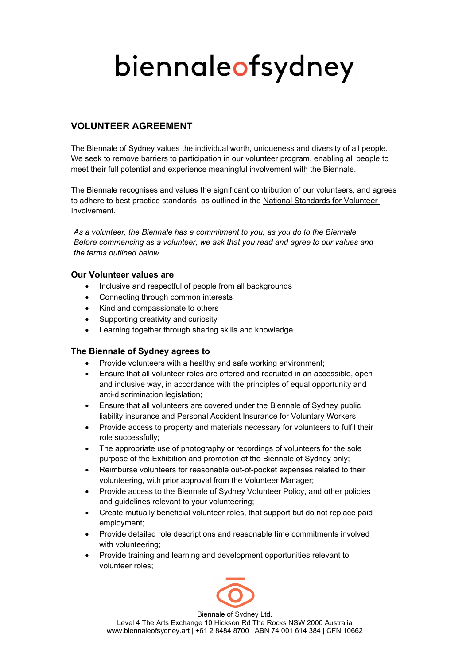# biennaleofsydney

## VOLUNTEER AGREEMENT

The Biennale of Sydney values the individual worth, uniqueness and diversity of all people. We seek to remove barriers to participation in our volunteer program, enabling all people to meet their full potential and experience meaningful involvement with the Biennale.

The Biennale recognises and values the significant contribution of our volunteers, and agrees to adhere to best practice standards, as outlined in the National Standards for Volunteer Involvement.

As a volunteer, the Biennale has a commitment to you, as you do to the Biennale. Before commencing as a volunteer, we ask that you read and agree to our values and the terms outlined below.

### Our Volunteer values are

- Inclusive and respectful of people from all backgrounds
- Connecting through common interests
- Kind and compassionate to others
- Supporting creativity and curiosity
- Learning together through sharing skills and knowledge

### The Biennale of Sydney agrees to

- Provide volunteers with a healthy and safe working environment;
- Ensure that all volunteer roles are offered and recruited in an accessible, open and inclusive way, in accordance with the principles of equal opportunity and anti-discrimination legislation;
- Ensure that all volunteers are covered under the Biennale of Sydney public liability insurance and Personal Accident Insurance for Voluntary Workers;
- Provide access to property and materials necessary for volunteers to fulfil their role successfully;
- The appropriate use of photography or recordings of volunteers for the sole purpose of the Exhibition and promotion of the Biennale of Sydney only;
- Reimburse volunteers for reasonable out-of-pocket expenses related to their volunteering, with prior approval from the Volunteer Manager;
- Provide access to the Biennale of Sydney Volunteer Policy, and other policies and guidelines relevant to your volunteering;
- Create mutually beneficial volunteer roles, that support but do not replace paid employment;
- Provide detailed role descriptions and reasonable time commitments involved with volunteering;
- Provide training and learning and development opportunities relevant to volunteer roles;



Biennale of Sydney Ltd. Level 4 The Arts Exchange 10 Hickson Rd The Rocks NSW 2000 Australia www.biennaleofsydney.art | +61 2 8484 8700 | ABN 74 001 614 384 | CFN 10662